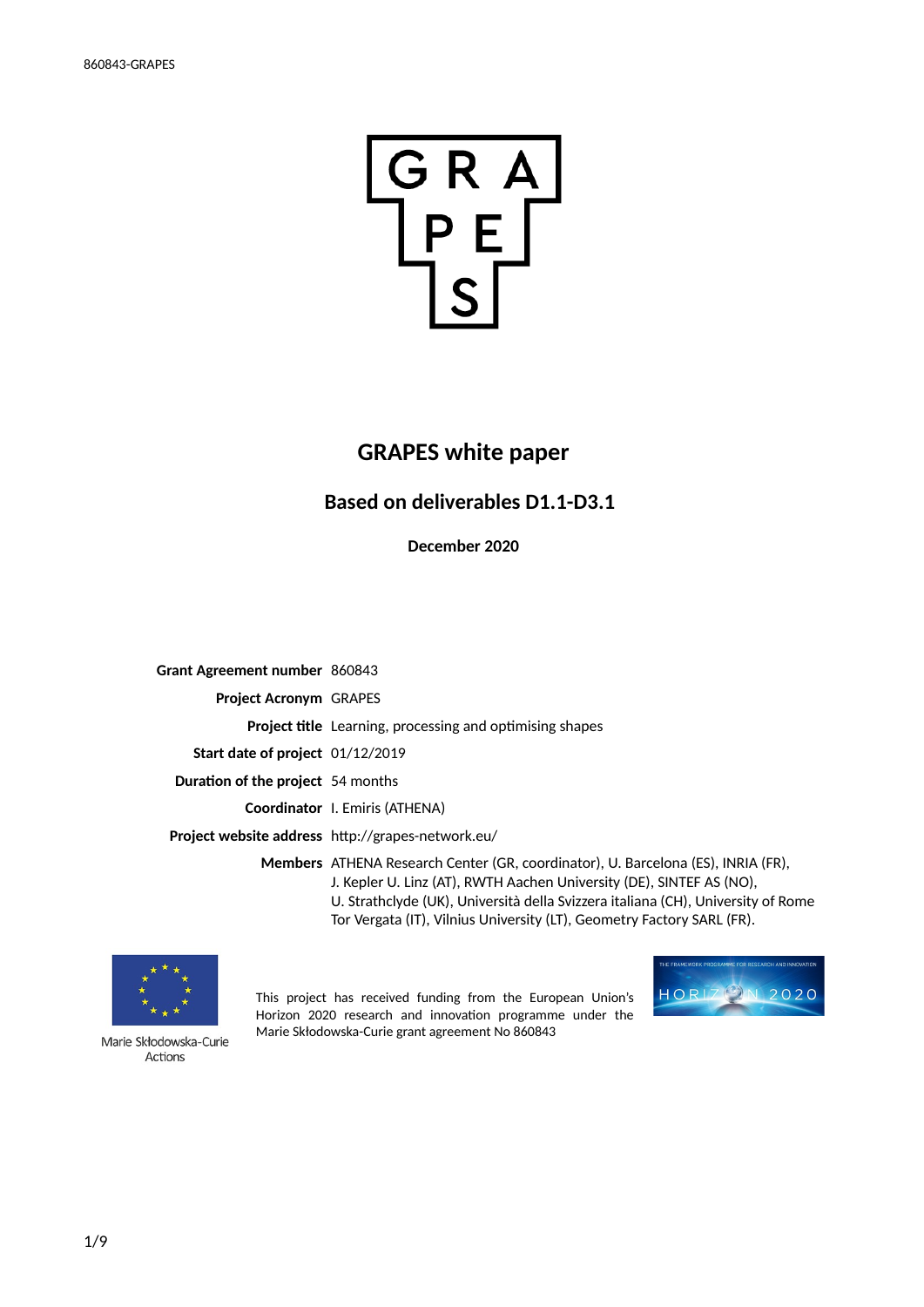

# **GRAPES white paper**

## **Based on deliverables D1.1-D3.1**

**December 2020**

**Grant Agreement number** 860843 **Project Acronym** GRAPES **Project title** Learning, processing and optimising shapes **Start date of project** 01/12/2019 **Duration of the project** 54 months **Coordinator** I. Emiris (ATHENA) **Project website address** http://grapes-network.eu/ **Members** ATHENA Research Center (GR, coordinator), U. Barcelona (ES), INRIA (FR), J. Kepler U. Linz (AT), RWTH Aachen University (DE), SINTEF AS (NO), U. Strathclyde (UK), Università della Svizzera italiana (CH), University of Rome Tor Vergata (IT), Vilnius University (LT), Geometry Factory SARL (FR).



Horizon 2020 research and innovation programme under the Marie Skłodowska-Curie grant agreement No 860843

This project has received funding from the European Union's



Marie Skłodowska-Curie Actions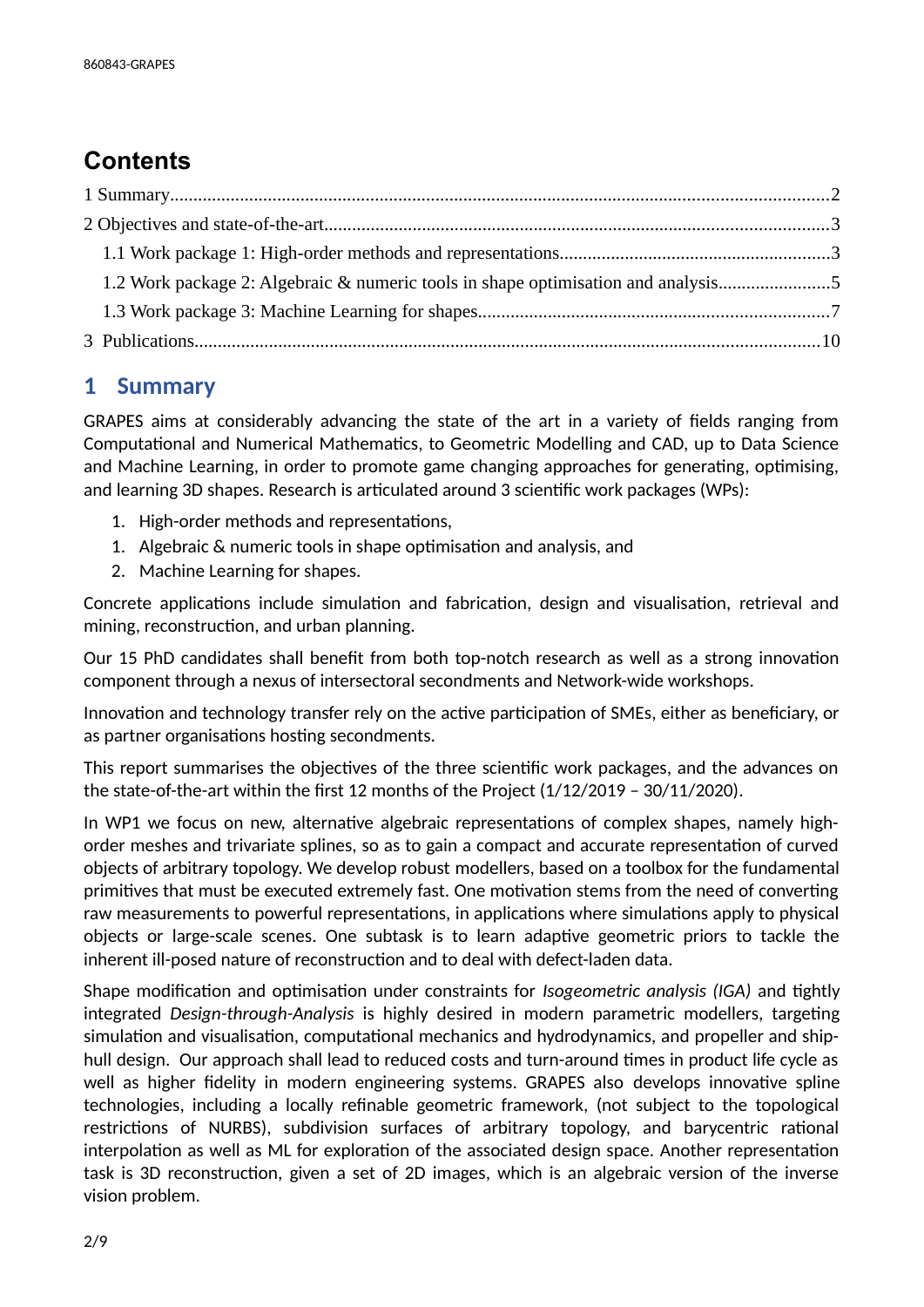# **Contents**

| 1.2 Work package 2: Algebraic & numeric tools in shape optimisation and analysis5 |
|-----------------------------------------------------------------------------------|
|                                                                                   |
|                                                                                   |

# <span id="page-1-0"></span>**1 Summary**

GRAPES aims at considerably advancing the state of the art in a variety of fields ranging from Computational and Numerical Mathematics, to Geometric Modelling and CAD, up to Data Science and Machine Learning, in order to promote game changing approaches for generating, optimising, and learning 3D shapes. Research is articulated around 3 scientific work packages (WPs):

- 1. High-order methods and representations,
- 1. Algebraic & numeric tools in shape optimisation and analysis, and
- 2. Machine Learning for shapes.

Concrete applications include simulation and fabrication, design and visualisation, retrieval and mining, reconstruction, and urban planning.

Our 15 PhD candidates shall benefit from both top-notch research as well as a strong innovation component through a nexus of intersectoral secondments and Network-wide workshops.

Innovation and technology transfer rely on the active participation of SMEs, either as beneficiary, or as partner organisations hosting secondments.

This report summarises the objectives of the three scientific work packages, and the advances on the state-of-the-art within the first 12 months of the Project (1/12/2019 – 30/11/2020).

In WP1 we focus on new, alternative algebraic representations of complex shapes, namely highorder meshes and trivariate splines, so as to gain a compact and accurate representation of curved objects of arbitrary topology. We develop robust modellers, based on a toolbox for the fundamental primitives that must be executed extremely fast. One motivation stems from the need of converting raw measurements to powerful representations, in applications where simulations apply to physical objects or large-scale scenes. One subtask is to learn adaptive geometric priors to tackle the inherent ill-posed nature of reconstruction and to deal with defect-laden data.

Shape modification and optimisation under constraints for *Isogeometric analysis (IGA)* and tightly integrated *Design-through-Analysis* is highly desired in modern parametric modellers, targeting simulation and visualisation, computational mechanics and hydrodynamics, and propeller and shiphull design. Our approach shall lead to reduced costs and turn-around times in product life cycle as well as higher fidelity in modern engineering systems. GRAPES also develops innovative spline technologies, including a locally refinable geometric framework, (not subject to the topological restrictions of NURBS), subdivision surfaces of arbitrary topology, and barycentric rational interpolation as well as ML for exploration of the associated design space. Another representation task is 3D reconstruction, given a set of 2D images, which is an algebraic version of the inverse vision problem.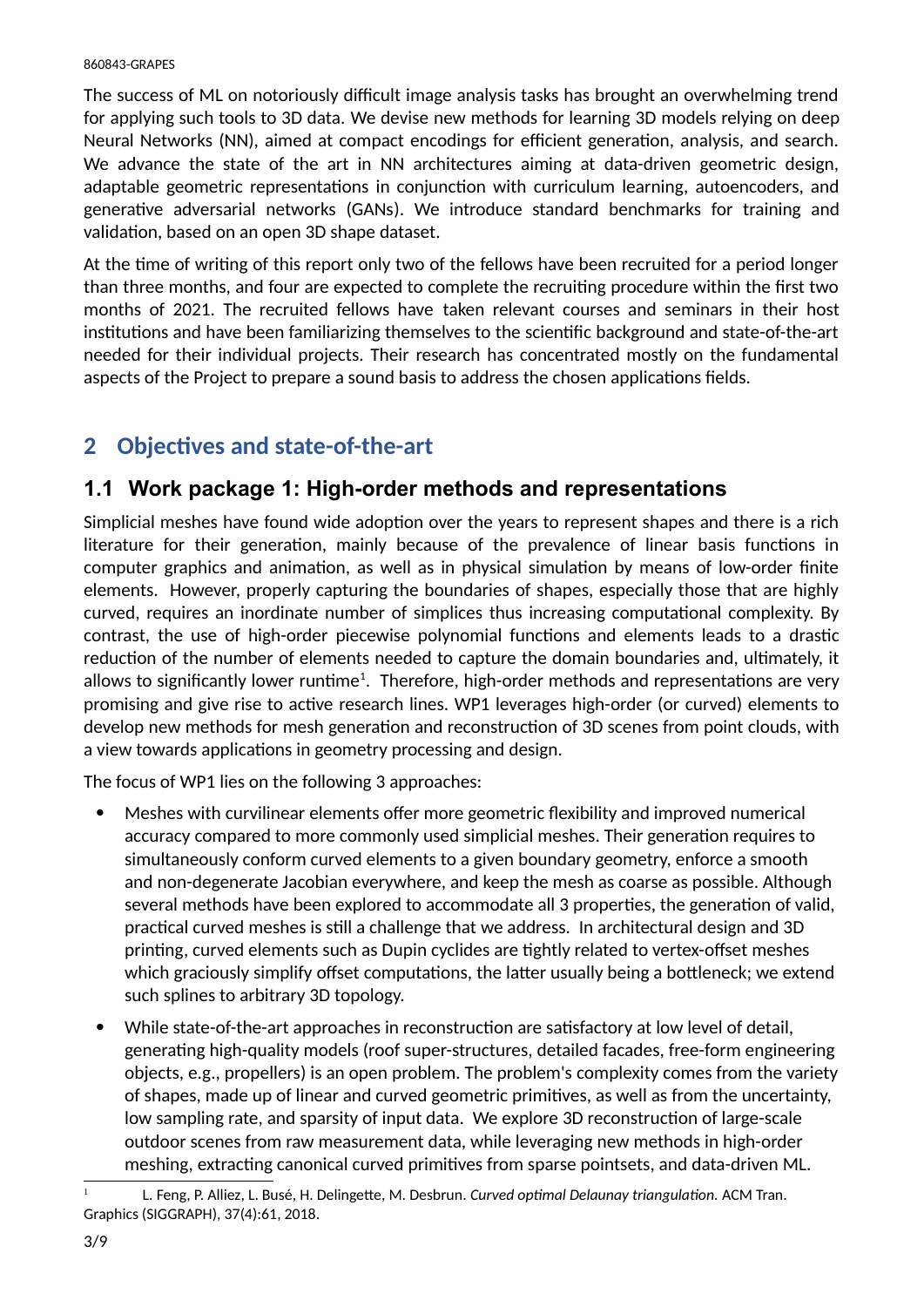The success of ML on notoriously difficult image analysis tasks has brought an overwhelming trend for applying such tools to 3D data. We devise new methods for learning 3D models relying on deep Neural Networks (NN), aimed at compact encodings for efficient generation, analysis, and search. We advance the state of the art in NN architectures aiming at data-driven geometric design, adaptable geometric representations in conjunction with curriculum learning, autoencoders, and generative adversarial networks (GANs). We introduce standard benchmarks for training and validation, based on an open 3D shape dataset.

At the time of writing of this report only two of the fellows have been recruited for a period longer than three months, and four are expected to complete the recruiting procedure within the first two months of 2021. The recruited fellows have taken relevant courses and seminars in their host institutions and have been familiarizing themselves to the scientific background and state-of-the-art needed for their individual projects. Their research has concentrated mostly on the fundamental aspects of the Project to prepare a sound basis to address the chosen applications fields.

# <span id="page-2-1"></span>**2 Objectives and state-of-the-art**

## <span id="page-2-0"></span>**1.1 Work package 1: High-order methods and representations**

Simplicial meshes have found wide adoption over the years to represent shapes and there is a rich literature for their generation, mainly because of the prevalence of linear basis functions in computer graphics and animation, as well as in physical simulation by means of low-order finite elements. However, properly capturing the boundaries of shapes, especially those that are highly curved, requires an inordinate number of simplices thus increasing computational complexity. By contrast, the use of high-order piecewise polynomial functions and elements leads to a drastic reduction of the number of elements needed to capture the domain boundaries and, ultimately, it allows to significantly lower runtime $^{1}$  $^{1}$  $^{1}$ . Therefore, high-order methods and representations are very promising and give rise to active research lines. WP1 leverages high-order (or curved) elements to develop new methods for mesh generation and reconstruction of 3D scenes from point clouds, with a view towards applications in geometry processing and design.

The focus of WP1 lies on the following 3 approaches:

- Meshes with curvilinear elements offer more geometric flexibility and improved numerical accuracy compared to more commonly used simplicial meshes. Their generation requires to simultaneously conform curved elements to a given boundary geometry, enforce a smooth and non-degenerate Jacobian everywhere, and keep the mesh as coarse as possible. Although several methods have been explored to accommodate all 3 properties, the generation of valid, practical curved meshes is still a challenge that we address. In architectural design and 3D printing, curved elements such as Dupin cyclides are tightly related to vertex-offset meshes which graciously simplify offset computations, the latter usually being a bottleneck; we extend such splines to arbitrary 3D topology.
- While state-of-the-art approaches in reconstruction are satisfactory at low level of detail, generating high-quality models (roof super-structures, detailed facades, free-form engineering objects, e.g., propellers) is an open problem. The problem's complexity comes from the variety of shapes, made up of linear and curved geometric primitives, as well as from the uncertainty, low sampling rate, and sparsity of input data. We explore 3D reconstruction of large-scale outdoor scenes from raw measurement data, while leveraging new methods in high-order meshing, extracting canonical curved primitives from sparse pointsets, and data-driven ML.

<span id="page-2-2"></span><sup>1</sup> L. Feng, P. Alliez, L. Busé, H. Delingette, M. Desbrun. *Curved optimal Delaunay triangulation.* ACM Tran. Graphics (SIGGRAPH), 37(4):61, 2018.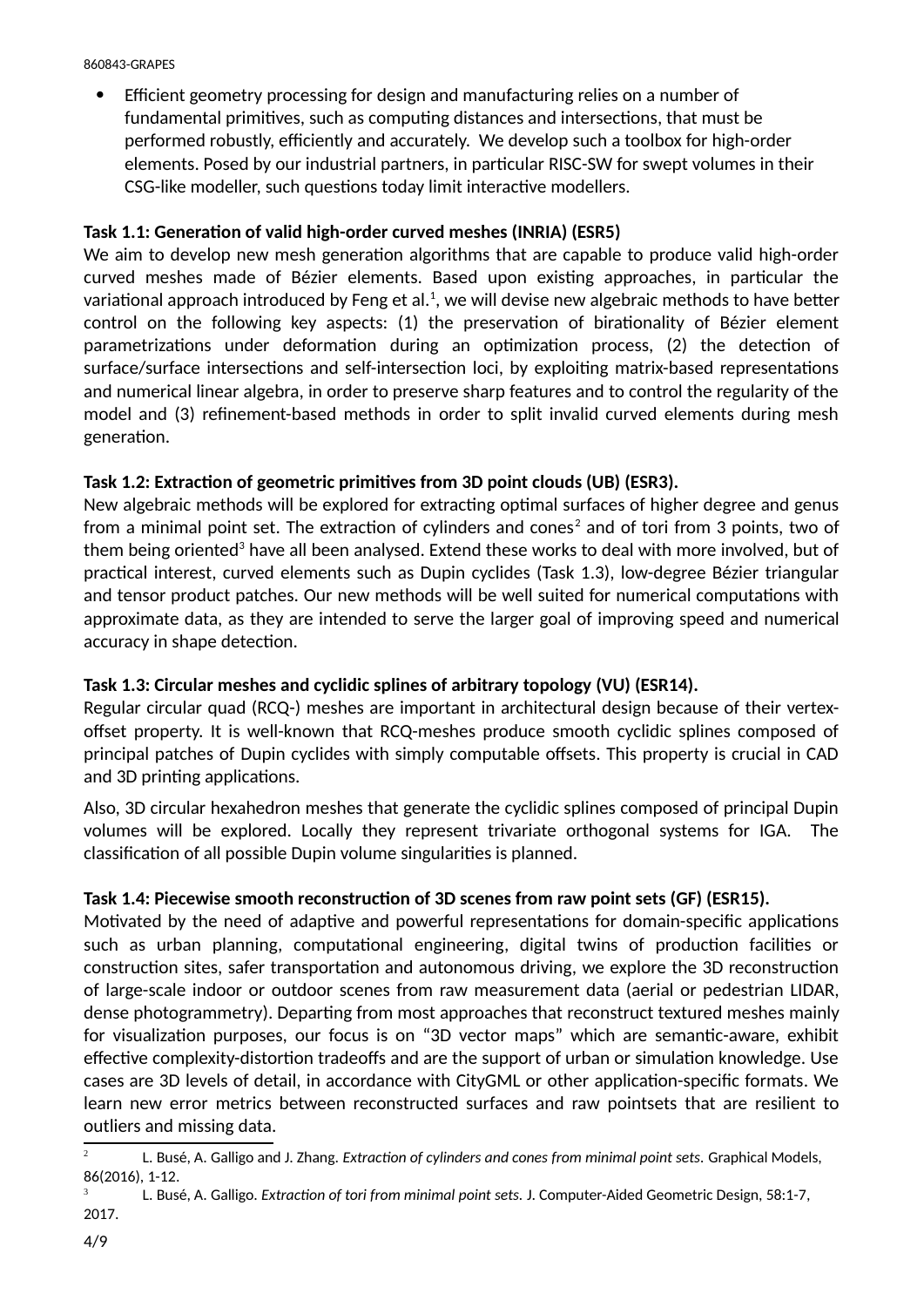Efficient geometry processing for design and manufacturing relies on a number of fundamental primitives, such as computing distances and intersections, that must be performed robustly, efficiently and accurately. We develop such a toolbox for high-order elements. Posed by our industrial partners, in particular RISC-SW for swept volumes in their CSG-like modeller, such questions today limit interactive modellers.

### **Task 1.1: Generation of valid high-order curved meshes (INRIA) (ESR5)**

We aim to develop new mesh generation algorithms that are capable to produce valid high-order curved meshes made of Bézier elements. Based upon existing approaches, in particular the variational approach introduced by Feng et al. $^{\text{1}}$ , we will devise new algebraic methods to have better control on the following key aspects: (1) the preservation of birationality of Bézier element parametrizations under deformation during an optimization process, (2) the detection of surface/surface intersections and self-intersection loci, by exploiting matrix-based representations and numerical linear algebra, in order to preserve sharp features and to control the regularity of the model and (3) refinement-based methods in order to split invalid curved elements during mesh generation.

### **Task 1.2: Extraction of geometric primitives from 3D point clouds (UB) (ESR3).**

New algebraic methods will be explored for extracting optimal surfaces of higher degree and genus from a minimal point set. The extraction of cylinders and cones<sup>[2](#page-3-0)</sup> and of tori from 3 points, two of them being oriented<sup>[3](#page-3-1)</sup> have all been analysed. Extend these works to deal with more involved, but of practical interest, curved elements such as Dupin cyclides (Task 1.3), low-degree Bézier triangular and tensor product patches. Our new methods will be well suited for numerical computations with approximate data, as they are intended to serve the larger goal of improving speed and numerical accuracy in shape detection.

### **Task 1.3: Circular meshes and cyclidic splines of arbitrary topology (VU) (ESR14).**

Regular circular quad (RCQ-) meshes are important in architectural design because of their vertexoffset property. It is well-known that RCQ-meshes produce smooth cyclidic splines composed of principal patches of Dupin cyclides with simply computable offsets. This property is crucial in CAD and 3D printing applications.

Also, 3D circular hexahedron meshes that generate the cyclidic splines composed of principal Dupin volumes will be explored. Locally they represent trivariate orthogonal systems for IGA. The classification of all possible Dupin volume singularities is planned.

#### **Task 1.4: Piecewise smooth reconstruction of 3D scenes from raw point sets (GF) (ESR15).**

Motivated by the need of adaptive and powerful representations for domain-specific applications such as urban planning, computational engineering, digital twins of production facilities or construction sites, safer transportation and autonomous driving, we explore the 3D reconstruction of large-scale indoor or outdoor scenes from raw measurement data (aerial or pedestrian LIDAR, dense photogrammetry). Departing from most approaches that reconstruct textured meshes mainly for visualization purposes, our focus is on "3D vector maps" which are semantic-aware, exhibit effective complexity-distortion tradeoffs and are the support of urban or simulation knowledge. Use cases are 3D levels of detail, in accordance with CityGML or other application-specific formats. We learn new error metrics between reconstructed surfaces and raw pointsets that are resilient to outliers and missing data.

<span id="page-3-0"></span><sup>2</sup> L. Busé, A. Galligo and J. Zhang. *Extraction of cylinders and cones from minimal point sets.* Graphical Models, 86(2016), 1-12.

<span id="page-3-1"></span><sup>3</sup> L. Busé, A. Galligo. *Extraction of tori from minimal point sets.* J. Computer-Aided Geometric Design, 58:1-7, 2017.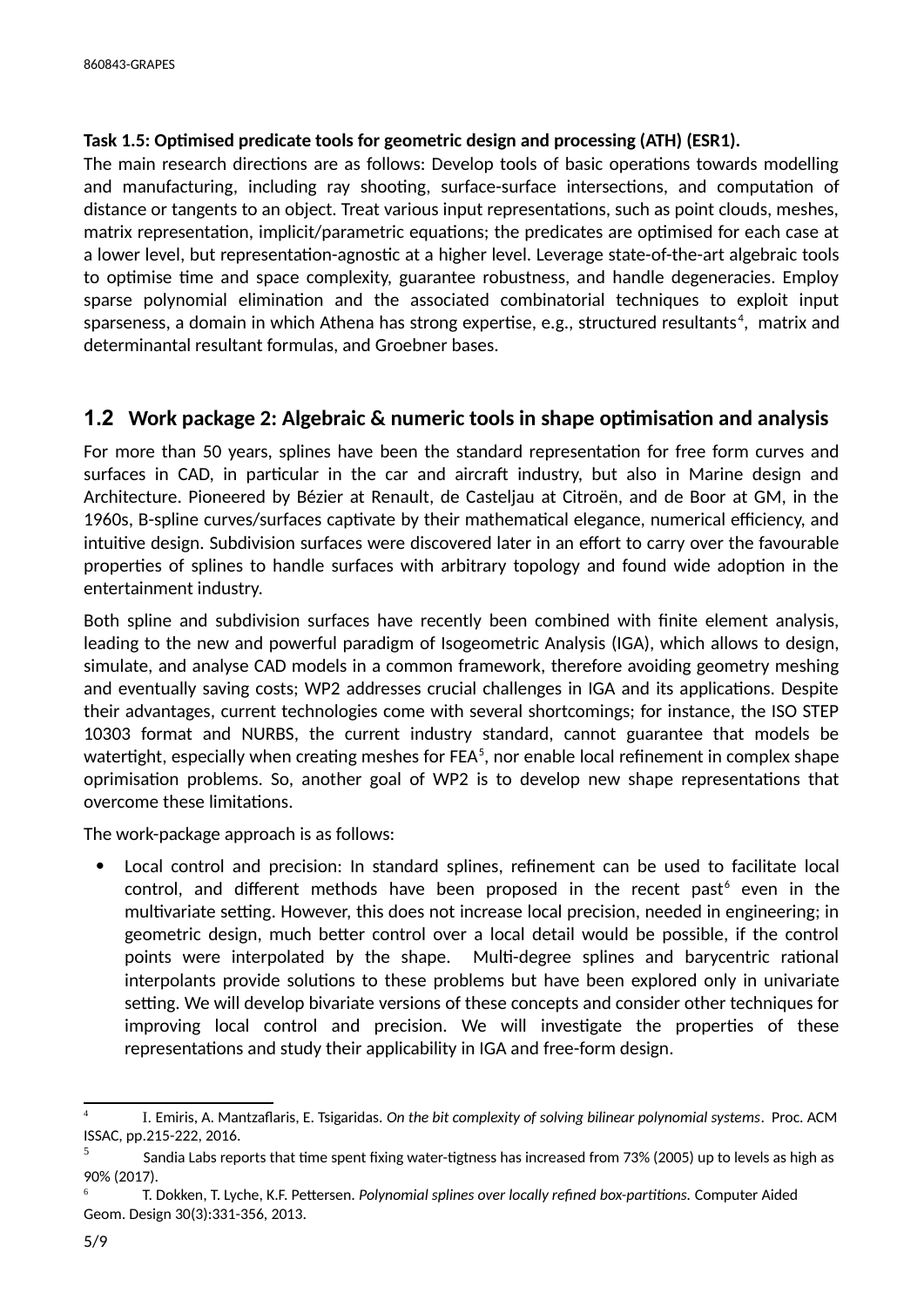#### **Task 1.5: Optimised predicate tools for geometric design and processing (ATH) (ESR1).**

The main research directions are as follows: Develop tools of basic operations towards modelling and manufacturing, including ray shooting, surface-surface intersections, and computation of distance or tangents to an object. Treat various input representations, such as point clouds, meshes, matrix representation, implicit/parametric equations; the predicates are optimised for each case at a lower level, but representation-agnostic at a higher level. Leverage state-of-the-art algebraic tools to optimise time and space complexity, guarantee robustness, and handle degeneracies. Employ sparse polynomial elimination and the associated combinatorial techniques to exploit input sparseness, a domain in which Athena has strong expertise, e.g., structured resultants<sup>[4](#page-4-1)</sup>, matrix and determinantal resultant formulas, and Groebner bases.

## <span id="page-4-0"></span>**1.2 Work package 2: Algebraic & numeric tools in shape optimisation and analysis**

For more than 50 years, splines have been the standard representation for free form curves and surfaces in CAD, in particular in the car and aircraft industry, but also in Marine design and Architecture. Pioneered by Bézier at Renault, de Casteljau at Citroën, and de Boor at GM, in the 1960s, B-spline curves/surfaces captivate by their mathematical elegance, numerical efficiency, and intuitive design. Subdivision surfaces were discovered later in an effort to carry over the favourable properties of splines to handle surfaces with arbitrary topology and found wide adoption in the entertainment industry.

Both spline and subdivision surfaces have recently been combined with finite element analysis, leading to the new and powerful paradigm of Isogeometric Analysis (IGA), which allows to design, simulate, and analyse CAD models in a common framework, therefore avoiding geometry meshing and eventually saving costs; WP2 addresses crucial challenges in IGA and its applications. Despite their advantages, current technologies come with several shortcomings; for instance, the ISO STEP 10303 format and NURBS, the current industry standard, cannot guarantee that models be watertight, especially when creating meshes for FEA $^{\rm 5}$  $^{\rm 5}$  $^{\rm 5}$ , nor enable local refinement in complex shape oprimisation problems. So, another goal of WP2 is to develop new shape representations that overcome these limitations.

The work-package approach is as follows:

 Local control and precision: In standard splines, refinement can be used to facilitate local control, and different methods have been proposed in the recent past $^6$  $^6$  even in the multivariate setting. However, this does not increase local precision, needed in engineering; in geometric design, much better control over a local detail would be possible, if the control points were interpolated by the shape. Multi-degree splines and barycentric rational interpolants provide solutions to these problems but have been explored only in univariate setting. We will develop bivariate versions of these concepts and consider other techniques for improving local control and precision. We will investigate the properties of these representations and study their applicability in IGA and free-form design.

<span id="page-4-1"></span><sup>4</sup> I. Emiris, A. Mantzaflaris, E. Tsigaridas. *On the bit complexity of solving bilinear polynomial systems*. Proc. ACM ISSAC, pp.215-222, 2016.

<span id="page-4-2"></span><sup>5</sup> Sandia Labs reports that time spent fixing water-tigtness has increased from 73% (2005) up to levels as high as 90% (2017).

<span id="page-4-3"></span><sup>6</sup> T. Dokken, T. Lyche, K.F. Pettersen. *Polynomial splines over locally refined box-partitions.* Computer Aided Geom. Design 30(3):331-356, 2013.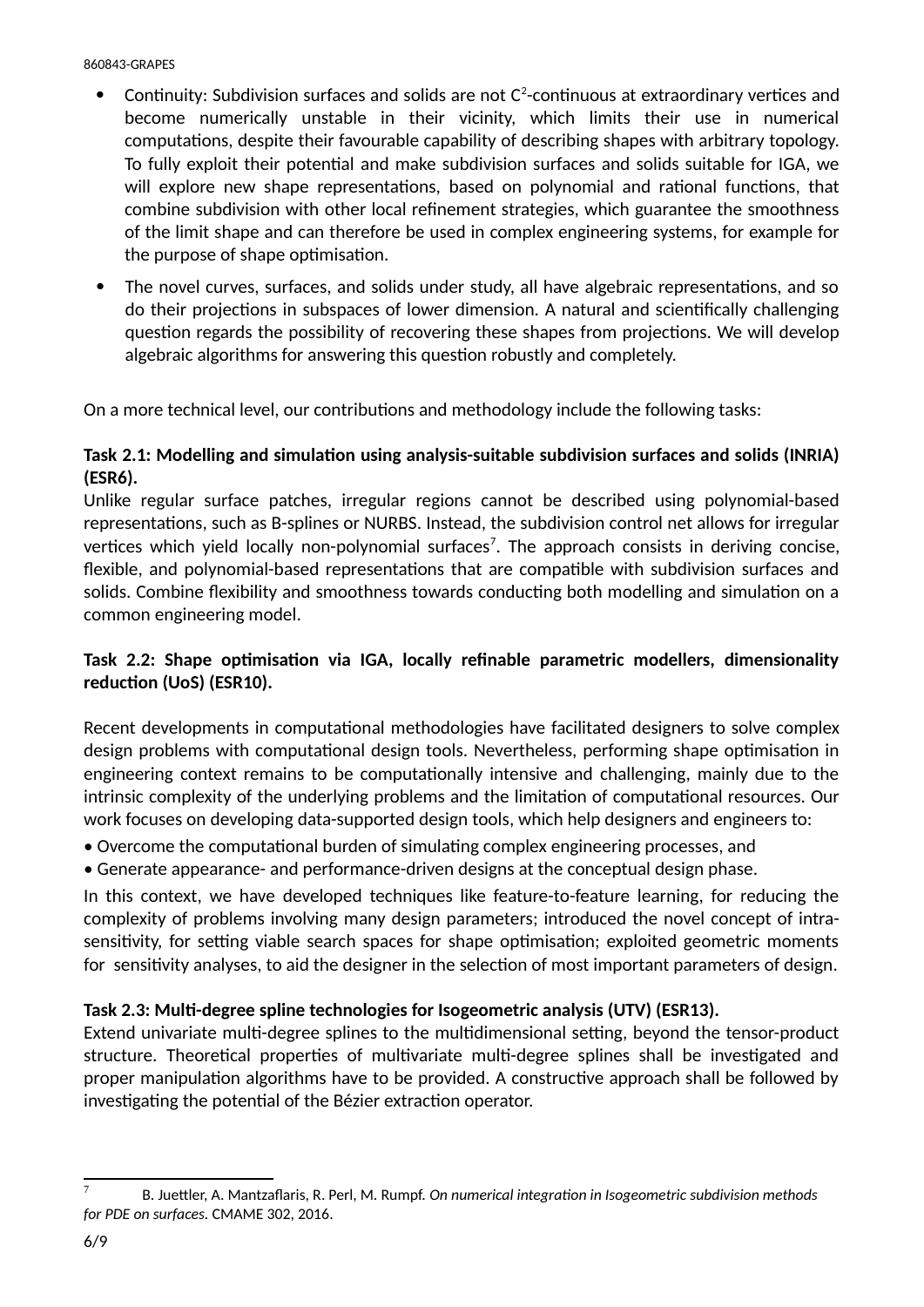- $\bullet$  Continuity: Subdivision surfaces and solids are not C $^2$ -continuous at extraordinary vertices and become numerically unstable in their vicinity, which limits their use in numerical computations, despite their favourable capability of describing shapes with arbitrary topology. To fully exploit their potential and make subdivision surfaces and solids suitable for IGA, we will explore new shape representations, based on polynomial and rational functions, that combine subdivision with other local refinement strategies, which guarantee the smoothness of the limit shape and can therefore be used in complex engineering systems, for example for the purpose of shape optimisation.
- The novel curves, surfaces, and solids under study, all have algebraic representations, and so do their projections in subspaces of lower dimension. A natural and scientifically challenging question regards the possibility of recovering these shapes from projections. We will develop algebraic algorithms for answering this question robustly and completely.

On a more technical level, our contributions and methodology include the following tasks:

#### **Task 2.1: Modelling and simulation using analysis-suitable subdivision surfaces and solids (INRIA) (ESR6).**

Unlike regular surface patches, irregular regions cannot be described using polynomial-based representations, such as B-splines or NURBS. Instead, the subdivision control net allows for irregular vertices which yield locally non-polynomial surfaces<sup>[7](#page-5-0)</sup>. The approach consists in deriving concise, flexible, and polynomial-based representations that are compatible with subdivision surfaces and solids. Combine flexibility and smoothness towards conducting both modelling and simulation on a common engineering model.

### **Task 2.2: Shape optimisation via IGA, locally refinable parametric modellers, dimensionality reduction (UoS) (ESR10).**

Recent developments in computational methodologies have facilitated designers to solve complex design problems with computational design tools. Nevertheless, performing shape optimisation in engineering context remains to be computationally intensive and challenging, mainly due to the intrinsic complexity of the underlying problems and the limitation of computational resources. Our work focuses on developing data-supported design tools, which help designers and engineers to:

- Overcome the computational burden of simulating complex engineering processes, and
- Generate appearance- and performance-driven designs at the conceptual design phase.

In this context, we have developed techniques like feature-to-feature learning, for reducing the complexity of problems involving many design parameters; introduced the novel concept of intrasensitivity, for setting viable search spaces for shape optimisation; exploited geometric moments for sensitivity analyses, to aid the designer in the selection of most important parameters of design.

#### **Task 2.3: Multi-degree spline technologies for Isogeometric analysis (UTV) (ESR13).**

Extend univariate multi-degree splines to the multidimensional setting, beyond the tensor-product structure. Theoretical properties of multivariate multi-degree splines shall be investigated and proper manipulation algorithms have to be provided. A constructive approach shall be followed by investigating the potential of the Bézier extraction operator.

<span id="page-5-0"></span><sup>7</sup> B. Juettler, A. Mantzaflaris, R. Perl, M. Rumpf. *On numerical integration in Isogeometric subdivision methods for PDE on surfaces.* CMAME 302, 2016.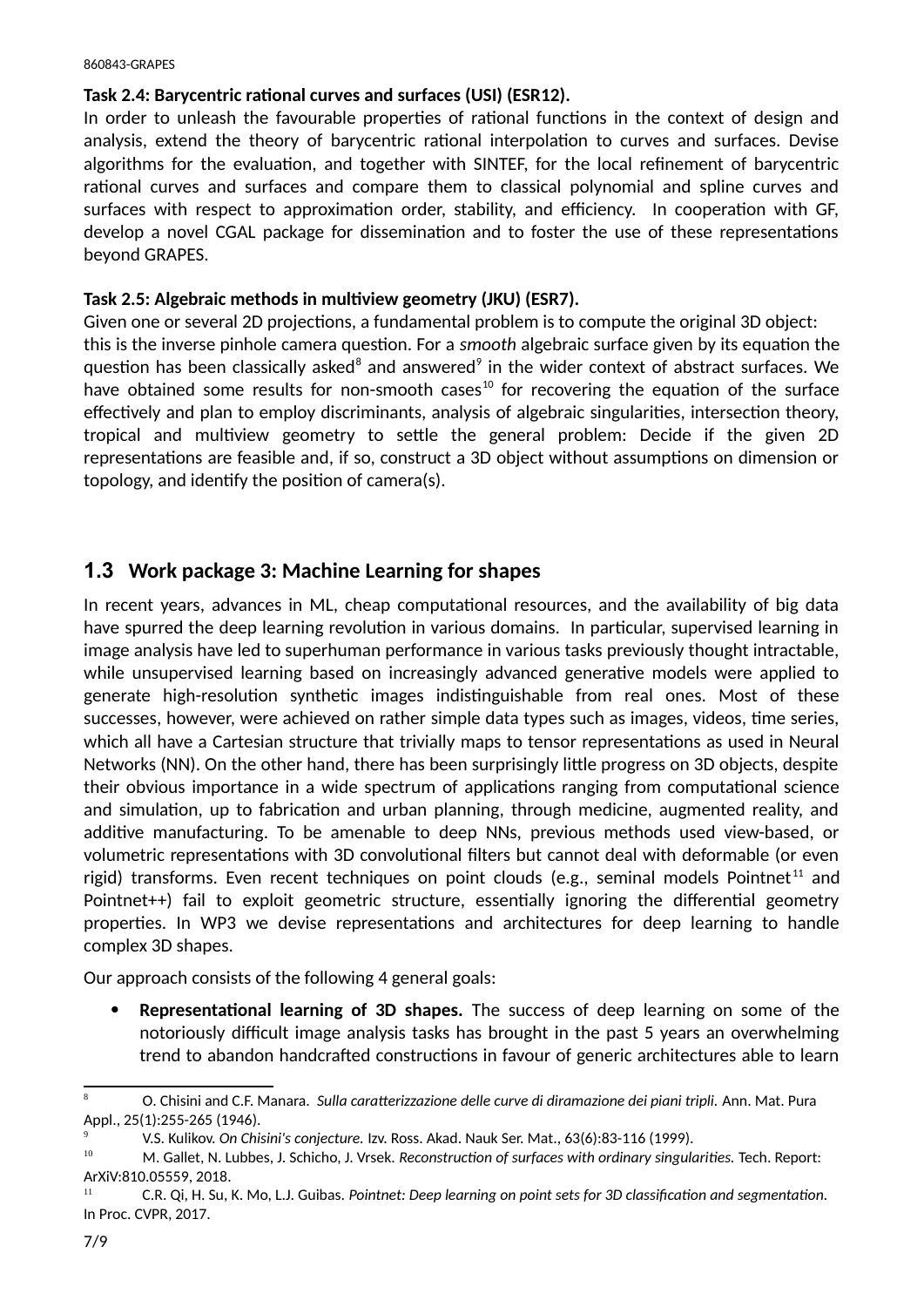#### **Task 2.4: Barycentric rational curves and surfaces (USI) (ESR12).**

In order to unleash the favourable properties of rational functions in the context of design and analysis, extend the theory of barycentric rational interpolation to curves and surfaces. Devise algorithms for the evaluation, and together with SINTEF, for the local refinement of barycentric rational curves and surfaces and compare them to classical polynomial and spline curves and surfaces with respect to approximation order, stability, and efficiency. In cooperation with GF, develop a novel CGAL package for dissemination and to foster the use of these representations beyond GRAPES.

#### **Task 2.5: Algebraic methods in multiview geometry (JKU) (ESR7).**

Given one or several 2D projections, a fundamental problem is to compute the original 3D object: this is the inverse pinhole camera question. For a *smooth* algebraic surface given by its equation the question has been classically asked $^8$  $^8$  and answered $^9$  $^9$  in the wider context of abstract surfaces. We have obtained some results for non-smooth cases<sup>[10](#page-6-3)</sup> for recovering the equation of the surface effectively and plan to employ discriminants, analysis of algebraic singularities, intersection theory, tropical and multiview geometry to settle the general problem: Decide if the given 2D representations are feasible and, if so, construct a 3D object without assumptions on dimension or topology, and identify the position of camera(s).

## <span id="page-6-0"></span>**1.3 Work package 3: Machine Learning for shapes**

In recent years, advances in ML, cheap computational resources, and the availability of big data have spurred the deep learning revolution in various domains. In particular, supervised learning in image analysis have led to superhuman performance in various tasks previously thought intractable, while unsupervised learning based on increasingly advanced generative models were applied to generate high-resolution synthetic images indistinguishable from real ones. Most of these successes, however, were achieved on rather simple data types such as images, videos, time series, which all have a Cartesian structure that trivially maps to tensor representations as used in Neural Νetworks (NN). On the other hand, there has been surprisingly little progress on 3D objects, despite their obvious importance in a wide spectrum of applications ranging from computational science and simulation, up to fabrication and urban planning, through medicine, augmented reality, and additive manufacturing. To be amenable to deep NNs, previous methods used view-based, or volumetric representations with 3D convolutional filters but cannot deal with deformable (or even rigid) transforms. Even recent techniques on point clouds (e.g., seminal models Pointnet<sup>[11](#page-6-4)</sup> and Pointnet++) fail to exploit geometric structure, essentially ignoring the differential geometry properties. In WP3 we devise representations and architectures for deep learning to handle complex 3D shapes.

Our approach consists of the following 4 general goals:

 **Representational learning of 3D shapes.** The success of deep learning on some of the notoriously difficult image analysis tasks has brought in the past 5 years an overwhelming trend to abandon handcrafted constructions in favour of generic architectures able to learn

<span id="page-6-1"></span><sup>8</sup> O. Chisini and C.F. Manara. *Sulla caratterizzazione delle curve di diramazione dei piani tripli.* Ann. Mat. Pura Appl., 25(1):255-265 (1946).

<span id="page-6-2"></span><sup>9</sup> V.S. Kulikov. *On Chisini's conjecture.* Izv. Ross. Akad. Nauk Ser. Mat., 63(6):83-116 (1999).

<span id="page-6-3"></span><sup>10</sup> M. Gallet, N. Lubbes, J. Schicho, J. Vrsek. *Reconstruction of surfaces with ordinary singularities.* Tech. Report: ArXiV:810.05559, 2018.

<span id="page-6-4"></span><sup>11</sup> C.R. Qi, H. Su, K. Mo, L.J. Guibas. *Pointnet: Deep learning on point sets for 3D classification and segmentation.* In Proc. CVPR, 2017.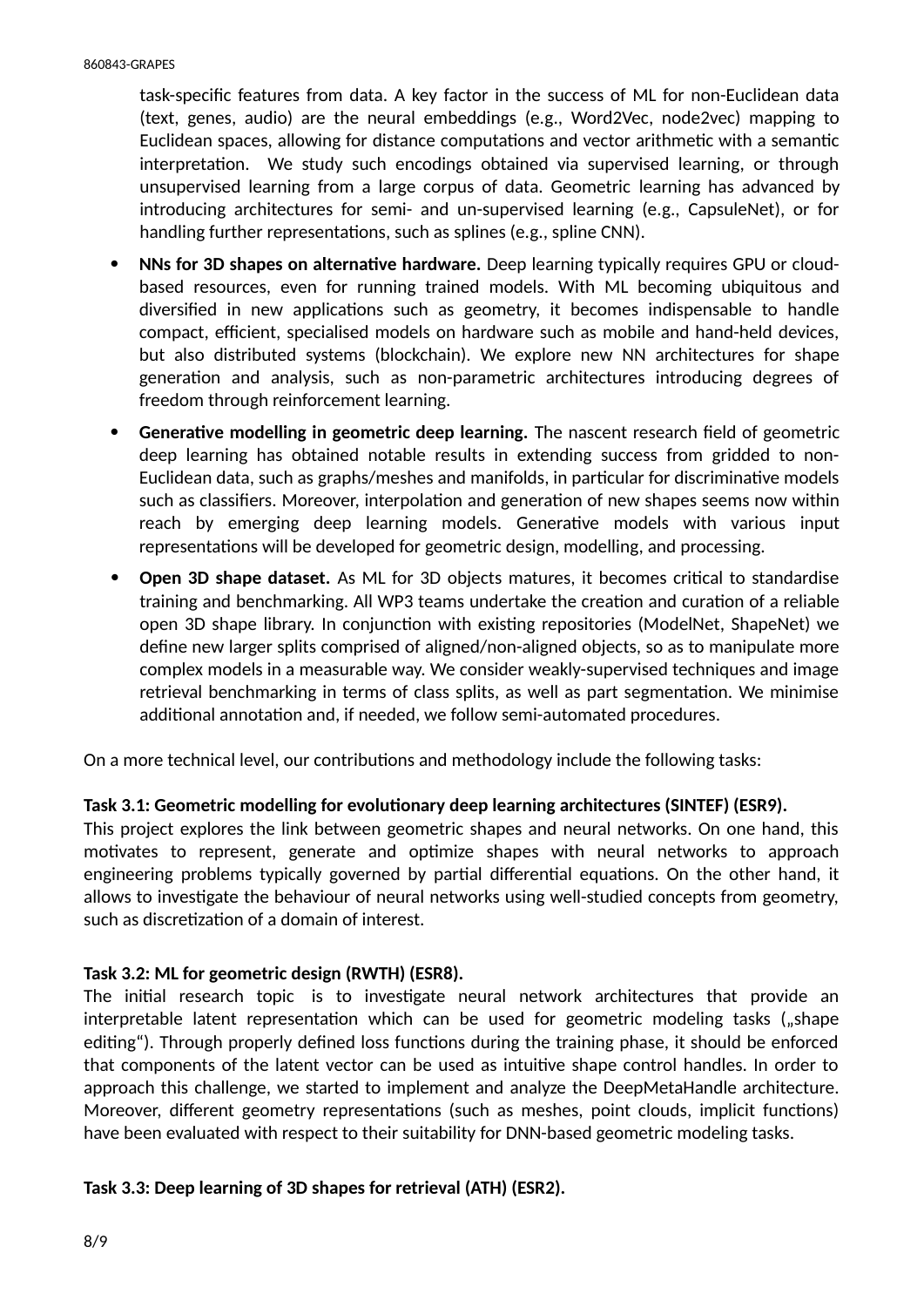task-specific features from data. A key factor in the success of ML for non-Euclidean data (text, genes, audio) are the neural embeddings (e.g., Word2Vec, node2vec) mapping to Euclidean spaces, allowing for distance computations and vector arithmetic with a semantic interpretation. We study such encodings obtained via supervised learning, or through unsupervised learning from a large corpus of data. Geometric learning has advanced by introducing architectures for semi- and un-supervised learning (e.g., CapsuleNet), or for handling further representations, such as splines (e.g., spline CNN).

- **NNs for 3D shapes on alternative hardware.** Deep learning typically requires GPU or cloudbased resources, even for running trained models. With ML becoming ubiquitous and diversified in new applications such as geometry, it becomes indispensable to handle compact, efficient, specialised models on hardware such as mobile and hand-held devices, but also distributed systems (blockchain). We explore new NN architectures for shape generation and analysis, such as non-parametric architectures introducing degrees of freedom through reinforcement learning.
- **Generative modelling in geometric deep learning.** The nascent research field of geometric deep learning has obtained notable results in extending success from gridded to non-Euclidean data, such as graphs/meshes and manifolds, in particular for discriminative models such as classifiers. Moreover, interpolation and generation of new shapes seems now within reach by emerging deep learning models. Generative models with various input representations will be developed for geometric design, modelling, and processing.
- **Open 3D shape dataset.** As ML for 3D objects matures, it becomes critical to standardise training and benchmarking. All WP3 teams undertake the creation and curation of a reliable open 3D shape library. In conjunction with existing repositories (ModelNet, ShapeNet) we define new larger splits comprised of aligned/non-aligned objects, so as to manipulate more complex models in a measurable way. We consider weakly-supervised techniques and image retrieval benchmarking in terms of class splits, as well as part segmentation. We minimise additional annotation and, if needed, we follow semi-automated procedures.

On a more technical level, our contributions and methodology include the following tasks:

#### **Task 3.1: Geometric modelling for evolutionary deep learning architectures (SINTEF) (ESR9).**

This project explores the link between geometric shapes and neural networks. On one hand, this motivates to represent, generate and optimize shapes with neural networks to approach engineering problems typically governed by partial differential equations. On the other hand, it allows to investigate the behaviour of neural networks using well-studied concepts from geometry, such as discretization of a domain of interest.

#### **Task 3.2: ML for geometric design (RWTH) (ESR8).**

The initial research topic is to investigate neural network architectures that provide an interpretable latent representation which can be used for geometric modeling tasks ("shape editing"). Through properly defined loss functions during the training phase, it should be enforced that components of the latent vector can be used as intuitive shape control handles. In order to approach this challenge, we started to implement and analyze the DeepMetaHandle architecture. Moreover, different geometry representations (such as meshes, point clouds, implicit functions) have been evaluated with respect to their suitability for DNN-based geometric modeling tasks.

#### **Task 3.3: Deep learning of 3D shapes for retrieval (ATH) (ESR2).**